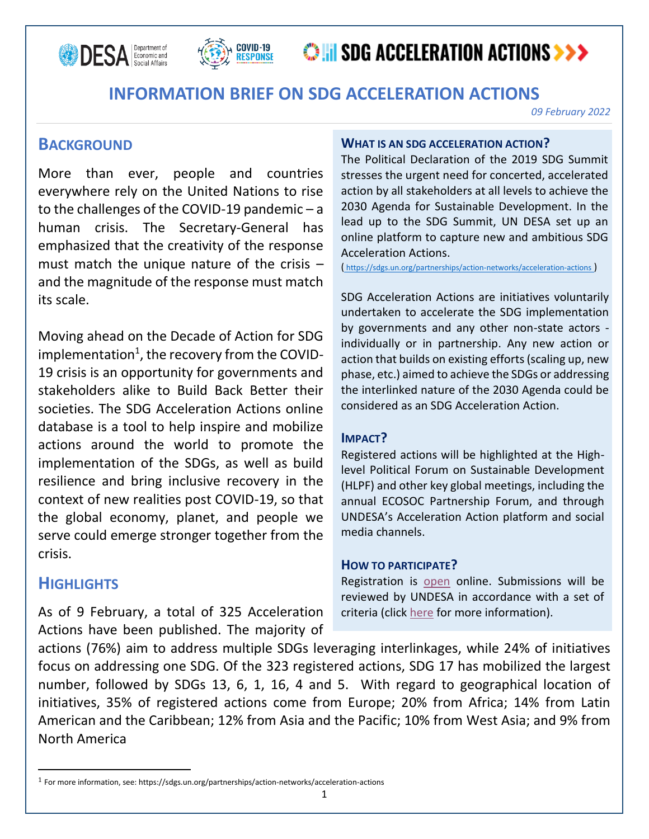



# **OHI SDG ACCELERATION ACTIONS >>>**

## **INFORMATION BRIEF ON SDG ACCELERATION ACTIONS**

*09 February 2022*

## **BACKGROUND**

More than ever, people and countries everywhere rely on the United Nations to rise to the challenges of the COVID-19 pandemic – a human crisis. The Secretary-General has emphasized that the creativity of the response must match the unique nature of the crisis – and the magnitude of the response must match its scale.

Moving ahead on the Decade of Action for SDG implementation<sup>1</sup>, the recovery from the COVID-19 crisis is an opportunity for governments and stakeholders alike to Build Back Better their societies. The SDG Acceleration Actions online database is a tool to help inspire and mobilize actions around the world to promote the implementation of the SDGs, as well as build resilience and bring inclusive recovery in the context of new realities post COVID-19, so that the global economy, planet, and people we serve could emerge stronger together from the crisis.

### **HIGHLIGHTS**

As of 9 February, a total of 325 Acceleration Actions have been published. The majority of

#### **WHAT IS AN SDG ACCELERATION ACTION?**

The Political Declaration of the 2019 SDG Summit stresses the urgent need for concerted, accelerated action by all stakeholders at all levels to achieve the 2030 Agenda for Sustainable Development. In the lead up to the SDG Summit, UN DESA set up an online platform to capture new and ambitious SDG Acceleration Actions.

( <https://sdgs.un.org/partnerships/action-networks/acceleration-actions> [\)](https://sdgs.un.org/partnerships/action-networks/acceleration-actions)

SDG Acceleration Actions are initiatives voluntarily undertaken to accelerate the SDG implementation by governments and any other non-state actors individually or in partnership. Any new action or action that builds on existing efforts (scaling up, new phase, etc.) aimed to achieve the SDGs or addressing the interlinked nature of the 2030 Agenda could be considered as an SDG Acceleration Action.

### **IMPACT?**

Registered actions will be highlighted at the Highlevel Political Forum on Sustainable Development (HLPF) and other key global meetings, including the annual ECOSOC Partnership Forum, and through UNDESA's Acceleration Action platform and social media channels.

### **HOW TO PARTICIPATE?**

Registration is [open](https://sdgs.un.org/partnerships/acceleration-actions/register) online. Submissions will be reviewed by UNDESA in accordance with a set of criteria (clic[k here](https://sdgs.un.org/partnerships/action-networks/acceleration-actions/about) for more information).

actions (76%) aim to address multiple SDGs leveraging interlinkages, while 24% of initiatives focus on addressing one SDG. Of the 323 registered actions, SDG 17 has mobilized the largest number, followed by SDGs 13, 6, 1, 16, 4 and 5. With regard to geographical location of initiatives, 35% of registered actions come from Europe; 20% from Africa; 14% from Latin American and the Caribbean; 12% from Asia and the Pacific; 10% from West Asia; and 9% from North America ٔ

<sup>1</sup> For more information, see: https://sdgs.un.org/partnerships/action-networks/acceleration-actions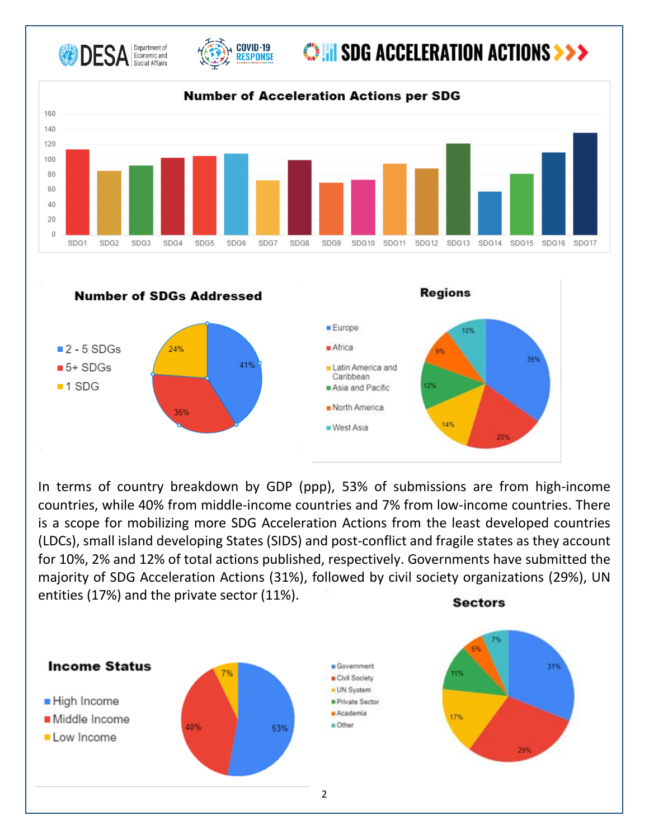



# **OHI SDG ACCELERATION ACTIONS >>>**

**Regions** 



**Number of SDGs Addressed** 



In terms of country breakdown by GDP (ppp), 53% of submissions are from high-income countries, while 40% from middle-income countries and 7% from low-income countries. There is a scope for mobilizing more SDG Acceleration Actions from the least developed countries (LDCs), small island developing States (SIDS) and post-conflict and fragile states as they account for 10%, 2% and 12% of total actions published, respectively. Governments have submitted the majority of SDG Acceleration Actions (31%), followed by civil society organizations (29%), UN entities (17%) and the private sector (11%).**Sectors**